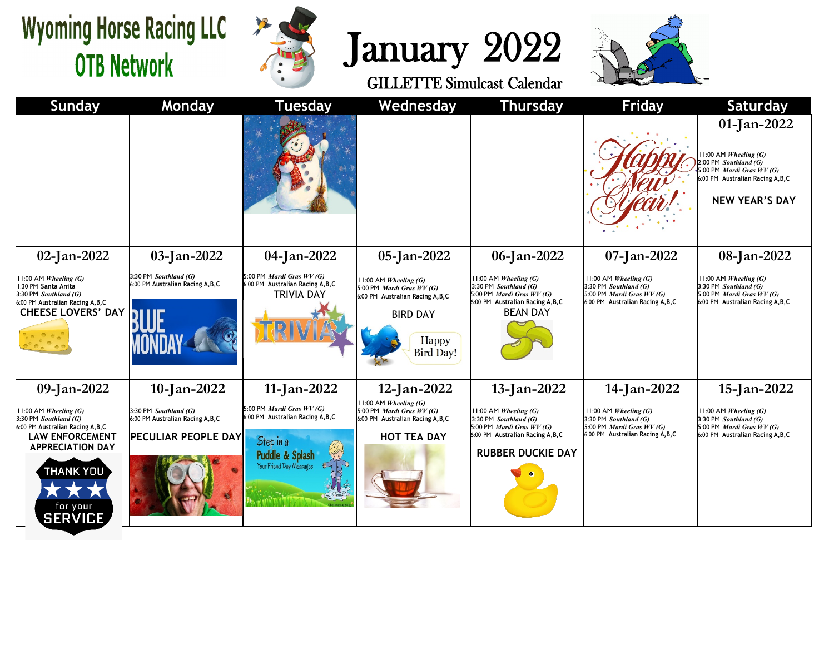## **Wyoming Horse Racing LLC OTB Network**







| <b>Sunday</b>                                                                                                                                          | Monday                                                                                   | <b>Tuesday</b>                                                                                                                    | Wednesday                                                                                                                               | <b>Thursday</b>                                                                                                                                       | Friday                                                                                                                    | <b>Saturday</b>                                                                                                                                                 |
|--------------------------------------------------------------------------------------------------------------------------------------------------------|------------------------------------------------------------------------------------------|-----------------------------------------------------------------------------------------------------------------------------------|-----------------------------------------------------------------------------------------------------------------------------------------|-------------------------------------------------------------------------------------------------------------------------------------------------------|---------------------------------------------------------------------------------------------------------------------------|-----------------------------------------------------------------------------------------------------------------------------------------------------------------|
|                                                                                                                                                        |                                                                                          |                                                                                                                                   |                                                                                                                                         |                                                                                                                                                       |                                                                                                                           | 01-Jan-2022<br>11:00 AM Wheeling (G)<br>2:00 PM Southland (G)<br>5:00 PM <i>Mardi Gras WV (G)</i><br>6:00 PM Australian Racing A, B, C<br><b>NEW YEAR'S DAY</b> |
| $02$ -Jan-2022                                                                                                                                         | 03-Jan-2022                                                                              | 04-Jan-2022                                                                                                                       | 05-Jan-2022                                                                                                                             | 06-Jan-2022                                                                                                                                           | 07-Jan-2022                                                                                                               | 08-Jan-2022                                                                                                                                                     |
| :00 AM Wheeling $(G)$<br>30 PM Santa Anita<br>30 PM Southland (G)<br>00 PM Australian Racing A, B, C<br>CHEESE LOVERS' DAY                             | 3:30 PM Southland (G)<br>6:00 PM Australian Racing A, B, C                               | 5:00 PM <i>Mardi Gras WV (G)</i><br>6:00 PM Australian Racing A, B, C<br><b>TRIVIA DAY</b>                                        | 11:00 AM Wheeling (G)<br>5:00 PM Mardi Gras WV (G)<br>6:00 PM Australian Racing A, B, C<br><b>BIRD DAY</b><br>Happy<br><b>Bird Day!</b> | $11:00$ AM <i>Wheeling</i> (G)<br>$3:30$ PM Southland (G)<br>5:00 PM Mardi Gras $WV(G)$<br>6:00 PM Australian Racing A, B, C<br><b>BEAN DAY</b>       | $11:00$ AM Wheeling (G)<br>3:30 PM Southland (G)<br>5:00 PM Mardi Gras WV (G)<br>6:00 PM Australian Racing A, B, C        | 11:00 AM Wheeling $(G)$<br>3:30 PM Southland (G)<br>5:00 PM <i>Mardi Gras WV (G)</i><br>6:00 PM Australian Racing A, B, C                                       |
| 09-Jan-2022                                                                                                                                            | 10-Jan-2022                                                                              | 11-Jan-2022                                                                                                                       | 12-Jan-2022                                                                                                                             | 13-Jan-2022                                                                                                                                           | 14-Jan-2022                                                                                                               | 15-Jan-2022                                                                                                                                                     |
| :00 AM Wheeling $(G)$<br>30 PM Southland (G)<br>00 PM Australian Racing A,B,C<br><b>LAW ENFORCEMENT</b><br><b>APPRECIATION DAY</b><br><b>THANK YOU</b> | 3:30 PM Southland (G)<br>6:00 PM Australian Racing A, B, C<br><b>PECULIAR PEOPLE DAY</b> | 5:00 PM <i>Mardi Gras WV (G)</i><br>6:00 PM Australian Racing A, B, C<br>Step in a<br>Puddle & Splash<br>Your Friend Day Messages | $11:00$ AM Wheeling (G)<br>5:00 PM Mardi Gras WV (G)<br>6:00 PM Australian Racing A, B, C<br><b>HOT TEA DAY</b>                         | $11:00$ AM Wheeling (G)<br>3:30 PM Southland (G)<br>5:00 PM <i>Mardi Gras WV (G)</i><br>6:00 PM Australian Racing A, B, C<br><b>RUBBER DUCKIE DAY</b> | $11:00$ AM Wheeling (G)<br>3:30 PM Southland (G)<br>5:00 PM <i>Mardi Gras WV (G)</i><br>6:00 PM Australian Racing A, B, C | 11:00 AM Wheeling $(G)$<br>3:30 PM Southland (G)<br>5:00 PM <i>Mardi Gras WV (G)</i><br>6:00 PM Australian Racing A, B, C                                       |
| for your<br><b>SERVICE</b>                                                                                                                             |                                                                                          |                                                                                                                                   |                                                                                                                                         |                                                                                                                                                       |                                                                                                                           |                                                                                                                                                                 |